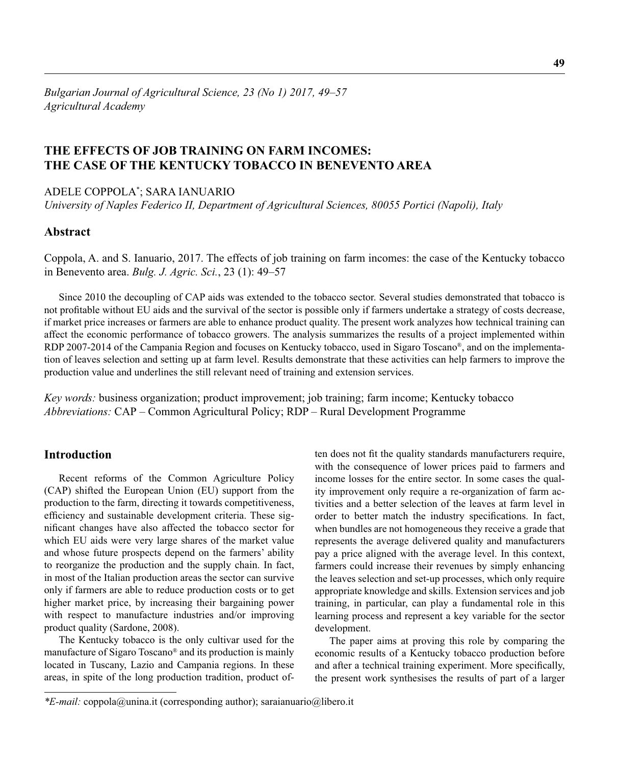# **THE EFFECTS OF JOB TRAINING ON FARM INCOMES: THE CASE OF THE KENTUCKY TOBACCO IN BENEVENTO AREA**

ADELE COPPOLA\* ; SARA IANUARIO

*University of Naples Federico II, Department of Agricultural Sciences, 80055 Portici (Napoli), Italy*

### **Abstract**

Coppola, A. and S. Ianuario, 2017. The effects of job training on farm incomes: the case of the Kentucky tobacco in Benevento area. *Bulg. J. Agric. Sci.*, 23 (1): 49–57

Since 2010 the decoupling of CAP aids was extended to the tobacco sector. Several studies demonstrated that tobacco is not profi table without EU aids and the survival of the sector is possible only if farmers undertake a strategy of costs decrease, if market price increases or farmers are able to enhance product quality. The present work analyzes how technical training can affect the economic performance of tobacco growers. The analysis summarizes the results of a project implemented within RDP 2007-2014 of the Campania Region and focuses on Kentucky tobacco, used in Sigaro Toscano®, and on the implementation of leaves selection and setting up at farm level. Results demonstrate that these activities can help farmers to improve the production value and underlines the still relevant need of training and extension services.

*Key words:* business organization; product improvement; job training; farm income; Kentucky tobacco *Abbreviations:* CAP – Common Agricultural Policy; RDP – Rural Development Programme

## **Introduction**

Recent reforms of the Common Agriculture Policy (CAP) shifted the European Union (EU) support from the production to the farm, directing it towards competitiveness, efficiency and sustainable development criteria. These significant changes have also affected the tobacco sector for which EU aids were very large shares of the market value and whose future prospects depend on the farmers' ability to reorganize the production and the supply chain. In fact, in most of the Italian production areas the sector can survive only if farmers are able to reduce production costs or to get higher market price, by increasing their bargaining power with respect to manufacture industries and/or improving product quality (Sardone, 2008).

The Kentucky tobacco is the only cultivar used for the manufacture of Sigaro Toscano® and its production is mainly located in Tuscany, Lazio and Campania regions. In these areas, in spite of the long production tradition, product often does not fit the quality standards manufacturers require, with the consequence of lower prices paid to farmers and income losses for the entire sector. In some cases the quality improvement only require a re-organization of farm activities and a better selection of the leaves at farm level in order to better match the industry specifications. In fact, when bundles are not homogeneous they receive a grade that represents the average delivered quality and manufacturers pay a price aligned with the average level. In this context, farmers could increase their revenues by simply enhancing the leaves selection and set-up processes, which only require appropriate knowledge and skills. Extension services and job training, in particular, can play a fundamental role in this learning process and represent a key variable for the sector development.

The paper aims at proving this role by comparing the economic results of a Kentucky tobacco production before and after a technical training experiment. More specifically, the present work synthesises the results of part of a larger

*<sup>\*</sup>E-mail:* coppola@unina.it (corresponding author); saraianuario@libero.it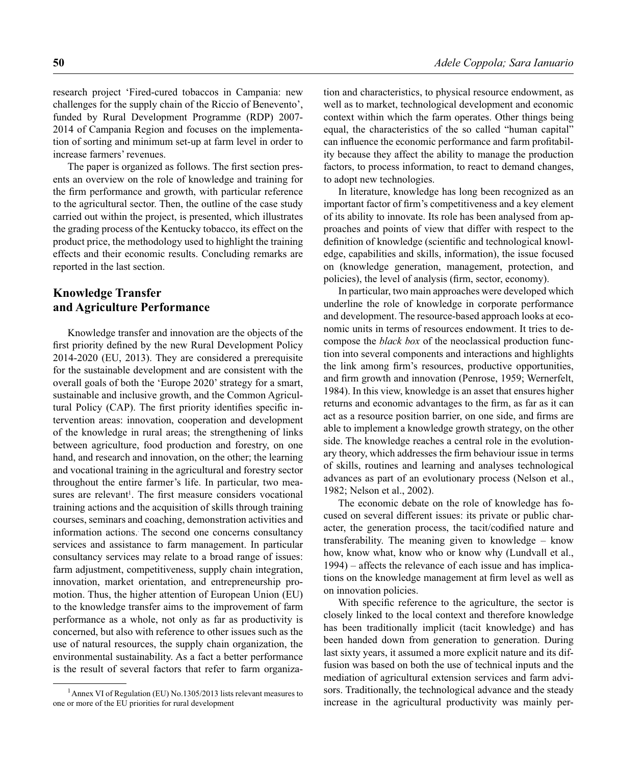research project 'Fired-cured tobaccos in Campania: new challenges for the supply chain of the Riccio of Benevento', funded by Rural Development Programme (RDP) 2007- 2014 of Campania Region and focuses on the implementation of sorting and minimum set-up at farm level in order to increase farmers' revenues.

The paper is organized as follows. The first section presents an overview on the role of knowledge and training for the firm performance and growth, with particular reference to the agricultural sector. Then, the outline of the case study carried out within the project, is presented, which illustrates the grading process of the Kentucky tobacco, its effect on the product price, the methodology used to highlight the training effects and their economic results. Concluding remarks are reported in the last section.

## **Knowledge Transfer and Agriculture Performance**

Knowledge transfer and innovation are the objects of the first priority defined by the new Rural Development Policy 2014-2020 (EU, 2013). They are considered a prerequisite for the sustainable development and are consistent with the overall goals of both the 'Europe 2020' strategy for a smart, sustainable and inclusive growth, and the Common Agricultural Policy (CAP). The first priority identifies specific intervention areas: innovation, cooperation and development of the knowledge in rural areas; the strengthening of links between agriculture, food production and forestry, on one hand, and research and innovation, on the other; the learning and vocational training in the agricultural and forestry sector throughout the entire farmer's life. In particular, two measures are relevant<sup>1</sup>. The first measure considers vocational training actions and the acquisition of skills through training courses, seminars and coaching, demonstration activities and information actions.. The second one concerns consultancy services and assistance to farm management. In particular consultancy services may relate to a broad range of issues: farm adjustment, competitiveness, supply chain integration, innovation, market orientation, and entrepreneurship promotion. Thus, the higher attention of European Union (EU) to the knowledge transfer aims to the improvement of farm performance as a whole, not only as far as productivity is concerned, but also with reference to other issues such as the use of natural resources, the supply chain organization, the environmental sustainability. As a fact a better performance is the result of several factors that refer to farm organization and characteristics, to physical resource endowment, as well as to market, technological development and economic context within which the farm operates. Other things being equal, the characteristics of the so called "human capital" can influence the economic performance and farm profitability because they affect the ability to manage the production factors, to process information, to react to demand changes, to adopt new technologies.

In literature, knowledge has long been recognized as an important factor of firm's competitiveness and a key element of its ability to innovate. Its role has been analysed from approaches and points of view that differ with respect to the definition of knowledge (scientific and technological knowledge, capabilities and skills, information), the issue focused on (knowledge generation, management, protection, and policies), the level of analysis (firm, sector, economy).

In particular, two main approaches were developed which underline the role of knowledge in corporate performance and development. The resource-based approach looks at economic units in terms of resources endowment. It tries to decompose the *black box* of the neoclassical production function into several components and interactions and highlights the link among firm's resources, productive opportunities, and firm growth and innovation (Penrose, 1959; Wernerfelt, 1984). In this view, knowledge is an asset that ensures higher returns and economic advantages to the firm, as far as it can act as a resource position barrier, on one side, and firms are able to implement a knowledge growth strategy, on the other side. The knowledge reaches a central role in the evolutionary theory, which addresses the firm behaviour issue in terms of skills, routines and learning and analyses technological advances as part of an evolutionary process (Nelson et al., 1982; Nelson et al., 2002).

The economic debate on the role of knowledge has focused on several different issues: its private or public character, the generation process, the tacit/codified nature and transferability. The meaning given to knowledge – know how, know what, know who or know why (Lundvall et al., 1994) – affects the relevance of each issue and has implications on the knowledge management at firm level as well as on innovation policies.

With specific reference to the agriculture, the sector is closely linked to the local context and therefore knowledge has been traditionally implicit (tacit knowledge) and has been handed down from generation to generation. During last sixty years, it assumed a more explicit nature and its diffusion was based on both the use of technical inputs and the mediation of agricultural extension services and farm advisors. Traditionally, the technological advance and the steady increase in the agricultural productivity was mainly per-

<sup>&</sup>lt;sup>1</sup> Annex VI of Regulation (EU) No.1305/2013 lists relevant measures to one or more of the EU priorities for rural development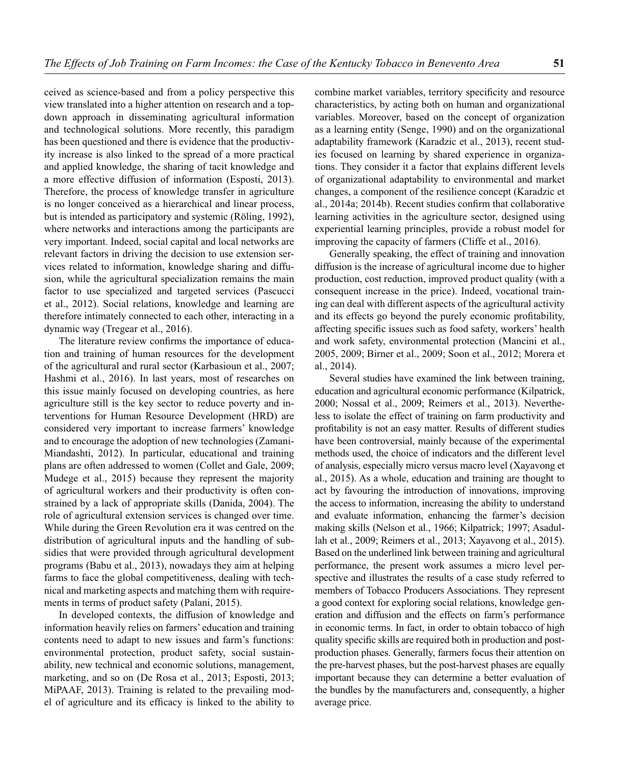ceived as science-based and from a policy perspective this view translated into a higher attention on research and a topdown approach in disseminating agricultural information and technological solutions. More recently, this paradigm has been questioned and there is evidence that the productivity increase is also linked to the spread of a more practical and applied knowledge, the sharing of tacit knowledge and a more effective diffusion of information (Esposti, 2013). Therefore, the process of knowledge transfer in agriculture is no longer conceived as a hierarchical and linear process, but is intended as participatory and systemic (Röling, 1992), where networks and interactions among the participants are very important. Indeed, social capital and local networks are relevant factors in driving the decision to use extension services related to information, knowledge sharing and diffusion, while the agricultural specialization remains the main factor to use specialized and targeted services (Pascucci et al., 2012). Social relations, knowledge and learning are therefore intimately connected to each other, interacting in a dynamic way (Tregear et al., 2016).

The literature review confirms the importance of education and training of human resources for the development of the agricultural and rural sector (Karbasioun et al., 2007; Hashmi et al., 2016). In last years, most of researches on this issue mainly focused on developing countries, as here agriculture still is the key sector to reduce poverty and interventions for Human Resource Development (HRD) are considered very important to increase farmers' knowledge and to encourage the adoption of new technologies (Zamani-Miandashti, 2012). In particular, educational and training plans are often addressed to women (Collet and Gale, 2009; Mudege et al., 2015) because they represent the majority of agricultural workers and their productivity is often constrained by a lack of appropriate skills (Danida, 2004). The role of agricultural extension services is changed over time. While during the Green Revolution era it was centred on the distribution of agricultural inputs and the handling of subsidies that were provided through agricultural development programs (Babu et al., 2013), nowadays they aim at helping farms to face the global competitiveness, dealing with technical and marketing aspects and matching them with requirements in terms of product safety (Palani, 2015).

In developed contexts, the diffusion of knowledge and information heavily relies on farmers' education and training contents need to adapt to new issues and farm's functions: environmental protection, product safety, social sustainability, new technical and economic solutions, management, marketing, and so on (De Rosa et al., 2013; Esposti, 2013; MiPAAF, 2013). Training is related to the prevailing model of agriculture and its efficacy is linked to the ability to combine market variables, territory specificity and resource characteristics, by acting both on human and organizational variables. Moreover, based on the concept of organization as a learning entity (Senge, 1990) and on the organizational adaptability framework (Karadzic et al., 2013), recent studies focused on learning by shared experience in organizations. They consider it a factor that explains different levels of organizational adaptability to environmental and market changes, a component of the resilience concept (Karadzic et al., 2014a; 2014b). Recent studies confirm that collaborative learning activities in the agriculture sector, designed using experiential learning principles, provide a robust model for improving the capacity of farmers (Cliffe et al., 2016).

Generally speaking, the effect of training and innovation diffusion is the increase of agricultural income due to higher production, cost reduction, improved product quality (with a consequent increase in the price). Indeed, vocational training can deal with different aspects of the agricultural activity and its effects go beyond the purely economic profitability, affecting specific issues such as food safety, workers' health and work safety, environmental protection (Mancini et al., 2005, 2009; Birner et al., 2009; Soon et al., 2012; Morera et al., 2014).

Several studies have examined the link between training, education and agricultural economic performance (Kilpatrick, 2000; Nossal et al., 2009; Reimers et al., 2013). Nevertheless to isolate the effect of training on farm productivity and profitability is not an easy matter. Results of different studies have been controversial, mainly because of the experimental methods used, the choice of indicators and the different level of analysis, especially micro versus macro level (Xayavong et al., 2015). As a whole, education and training are thought to act by favouring the introduction of innovations, improving the access to information, increasing the ability to understand and evaluate information, enhancing the farmer's decision making skills (Nelson et al., 1966; Kilpatrick; 1997; Asadullah et al., 2009; Reimers et al., 2013; Xayavong et al., 2015). Based on the underlined link between training and agricultural performance, the present work assumes a micro level perspective and illustrates the results of a case study referred to members of Tobacco Producers Associations. They represent a good context for exploring social relations, knowledge generation and diffusion and the effects on farm's performance in economic terms. In fact, in order to obtain tobacco of high quality specific skills are required both in production and postproduction phases. Generally, farmers focus their attention on the pre-harvest phases, but the post-harvest phases are equally important because they can determine a better evaluation of the bundles by the manufacturers and, consequently, a higher average price.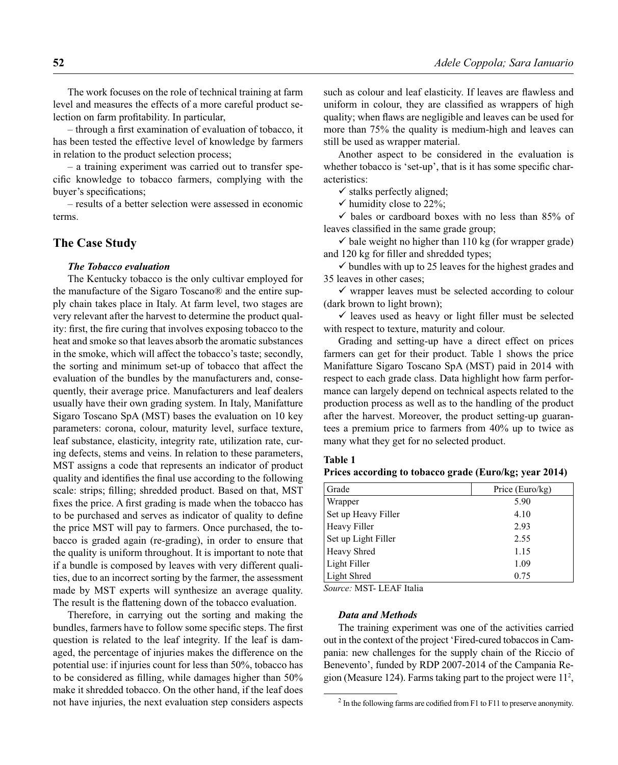The work focuses on the role of technical training at farm level and measures the effects of a more careful product selection on farm profitability. In particular,

– through a first examination of evaluation of tobacco, it has been tested the effective level of knowledge by farmers in relation to the product selection process;

– a training experiment was carried out to transfer specific knowledge to tobacco farmers, complying with the buyer's specifications;

– results of a better selection were assessed in economic terms.

### **The Case Study**

#### *The Tobacco evaluation*

The Kentucky tobacco is the only cultivar employed for the manufacture of the Sigaro Toscano® and the entire supply chain takes place in Italy. At farm level, two stages are very relevant after the harvest to determine the product quality: first, the fire curing that involves exposing tobacco to the heat and smoke so that leaves absorb the aromatic substances in the smoke, which will affect the tobacco's taste; secondly, the sorting and minimum set-up of tobacco that affect the evaluation of the bundles by the manufacturers and, consequently, their average price. Manufacturers and leaf dealers usually have their own grading system. In Italy, Manifatture Sigaro Toscano SpA (MST) bases the evaluation on 10 key parameters: corona, colour, maturity level, surface texture, leaf substance, elasticity, integrity rate, utilization rate, curing defects, stems and veins. In relation to these parameters, MST assigns a code that represents an indicator of product quality and identifies the final use according to the following scale: strips; filling; shredded product. Based on that, MST fixes the price. A first grading is made when the tobacco has to be purchased and serves as indicator of quality to define the price MST will pay to farmers. Once purchased, the tobacco is graded again (re-grading), in order to ensure that the quality is uniform throughout. It is important to note that if a bundle is composed by leaves with very different qualities, due to an incorrect sorting by the farmer, the assessment made by MST experts will synthesize an average quality. The result is the flattening down of the tobacco evaluation.

Therefore, in carrying out the sorting and making the bundles, farmers have to follow some specific steps. The first question is related to the leaf integrity. If the leaf is damaged, the percentage of injuries makes the difference on the potential use: if injuries count for less than 50%, tobacco has to be considered as filling, while damages higher than  $50\%$ make it shredded tobacco. On the other hand, if the leaf does not have injuries, the next evaluation step considers aspects such as colour and leaf elasticity. If leaves are flawless and uniform in colour, they are classified as wrappers of high quality; when flaws are negligible and leaves can be used for more than 75% the quality is medium-high and leaves can still be used as wrapper material.

Another aspect to be considered in the evaluation is whether tobacco is 'set-up', that is it has some specific characteristics:

 $\checkmark$  stalks perfectly aligned;

 $\checkmark$  humidity close to 22%;

 $\checkmark$  bales or cardboard boxes with no less than 85% of leaves classified in the same grade group;

 $\checkmark$  bale weight no higher than 110 kg (for wrapper grade) and 120 kg for filler and shredded types;

 $\checkmark$  bundles with up to 25 leaves for the highest grades and 35 leaves in other cases;

 $\checkmark$  wrapper leaves must be selected according to colour (dark brown to light brown);

 $\checkmark$  leaves used as heavy or light filler must be selected with respect to texture, maturity and colour.

Grading and setting-up have a direct effect on prices farmers can get for their product. Table 1 shows the price Manifatture Sigaro Toscano SpA (MST) paid in 2014 with respect to each grade class. Data highlight how farm performance can largely depend on technical aspects related to the production process as well as to the handling of the product after the harvest. Moreover, the product setting-up guarantees a premium price to farmers from 40% up to twice as many what they get for no selected product.

#### **Table 1**

**Prices according to tobacco grade (Euro/kg; year 2014)**

| Grade               | Price (Euro/ $kg$ ) |  |  |
|---------------------|---------------------|--|--|
| Wrapper             | 5.90                |  |  |
| Set up Heavy Filler | 4.10                |  |  |
| Heavy Filler        | 2.93                |  |  |
| Set up Light Filler | 2.55                |  |  |
| <b>Heavy Shred</b>  | 1.15                |  |  |
| Light Filler        | 1.09                |  |  |
| Light Shred         | 0.75                |  |  |

*Source:* MST- LEAF Italia

### *Data and Methods*

The training experiment was one of the activities carried out in the context of the project 'Fired-cured tobaccos in Campania: new challenges for the supply chain of the Riccio of Benevento', funded by RDP 2007-2014 of the Campania Region (Measure 124). Farms taking part to the project were 112 ,

 $2 \text{ In the following farms are codified from F1 to F11 to preserve anonymity.}$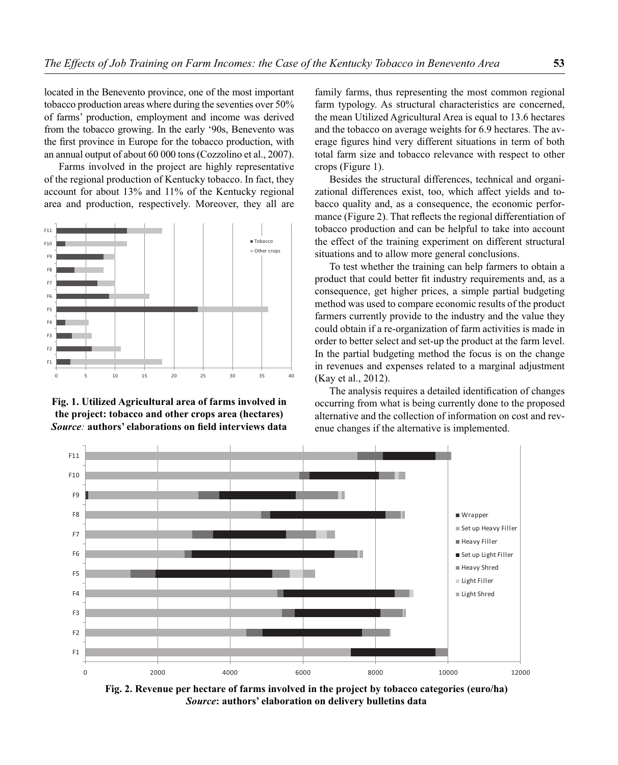located in the Benevento province, one of the most important tobacco production areas where during the seventies over 50% of farms' production, employment and income was derived from the tobacco growing. In the early '90s, Benevento was the first province in Europe for the tobacco production, with an annual output of about 60 000 tons (Cozzolino et al., 2007).

Farms involved in the project are highly representative of the regional production of Kentucky tobacco. In fact, they account for about 13% and 11% of the Kentucky regional area and production, respectively. Moreover, they all are



**Fig. 1. Utilized Agricultural area of farms involved in the project: tobacco and other crops area (hectares)** *Source*: **authors**' elaborations on field interviews data

family farms, thus representing the most common regional farm typology. As structural characteristics are concerned, the mean Utilized Agricultural Area is equal to 13.6 hectares and the tobacco on average weights for 6.9 hectares. The average figures hind very different situations in term of both total farm size and tobacco relevance with respect to other crops (Figure 1).

Besides the structural differences, technical and organizational differences exist, too, which affect yields and tobacco quality and, as a consequence, the economic performance (Figure 2). That reflects the regional differentiation of tobacco production and can be helpful to take into account the effect of the training experiment on different structural situations and to allow more general conclusions.

To test whether the training can help farmers to obtain a product that could better fit industry requirements and, as a consequence, get higher prices, a simple partial budgeting method was used to compare economic results of the product farmers currently provide to the industry and the value they could obtain if a re-organization of farm activities is made in order to better select and set-up the product at the farm level. In the partial budgeting method the focus is on the change in revenues and expenses related to a marginal adjustment (Kay et al., 2012).

The analysis requires a detailed identification of changes occurring from what is being currently done to the proposed alternative and the collection of information on cost and revenue changes if the alternative is implemented.



**Fig. 2. Revenue per hectare of farms involved in the project by tobacco categories (euro/ha)** *Source***: authors' elaboration on delivery bulletins data**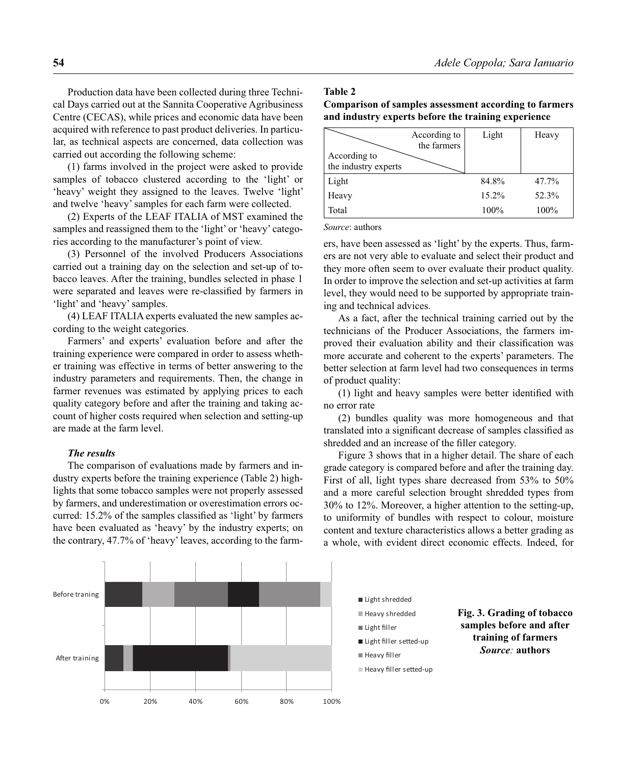Production data have been collected during three Technical Days carried out at the Sannita Cooperative Agribusiness Centre (CECAS), while prices and economic data have been acquired with reference to past product deliveries. In particular, as technical aspects are concerned, data collection was carried out according the following scheme:

(1) farms involved in the project were asked to provide samples of tobacco clustered according to the 'light' or 'heavy' weight they assigned to the leaves. Twelve 'light' and twelve 'heavy' samples for each farm were collected.

(2) Experts of the LEAF ITALIA of MST examined the samples and reassigned them to the 'light' or 'heavy' categories according to the manufacturer's point of view.

(3) Personnel of the involved Producers Associations carried out a training day on the selection and set-up of tobacco leaves. After the training, bundles selected in phase 1 were separated and leaves were re-classified by farmers in 'light' and 'heavy' samples.

(4) LEAF ITALIA experts evaluated the new samples according to the weight categories.

Farmers' and experts' evaluation before and after the training experience were compared in order to assess whether training was effective in terms of better answering to the industry parameters and requirements. Then, the change in farmer revenues was estimated by applying prices to each quality category before and after the training and taking account of higher costs required when selection and setting-up are made at the farm level.

#### *The results*

The comparison of evaluations made by farmers and industry experts before the training experience (Table 2) highlights that some tobacco samples were not properly assessed by farmers, and underestimation or overestimation errors occurred: 15.2% of the samples classified as 'light' by farmers have been evaluated as 'heavy' by the industry experts; on the contrary, 47.7% of 'heavy' leaves, according to the farm-

## **Table 2**

| Comparison of samples assessment according to farmers |  |  |  |
|-------------------------------------------------------|--|--|--|
| and industry experts before the training experience   |  |  |  |

|                                      | According to<br>the farmers | Light | Heavy |
|--------------------------------------|-----------------------------|-------|-------|
| According to<br>the industry experts |                             |       |       |
| Light                                |                             | 84.8% | 47.7% |
| Heavy                                |                             | 15.2% | 52.3% |
| Total                                |                             | 100%  | 100%  |

*Source*: authors

ers, have been assessed as 'light' by the experts. Thus, farmers are not very able to evaluate and select their product and they more often seem to over evaluate their product quality. In order to improve the selection and set-up activities at farm level, they would need to be supported by appropriate training and technical advices.

As a fact, after the technical training carried out by the technicians of the Producer Associations, the farmers improved their evaluation ability and their classification was more accurate and coherent to the experts' parameters. The better selection at farm level had two consequences in terms of product quality:

 $(1)$  light and heavy samples were better identified with no error rate

(2) bundles quality was more homogeneous and that translated into a significant decrease of samples classified as shredded and an increase of the filler category.

Figure 3 shows that in a higher detail. The share of each grade category is compared before and after the training day. First of all, light types share decreased from 53% to 50% and a more careful selection brought shredded types from 30% to 12%. Moreover, a higher attention to the setting-up, to uniformity of bundles with respect to colour, moisture content and texture characteristics allows a better grading as a whole, with evident direct economic effects. Indeed, for

*Source:* **authors**

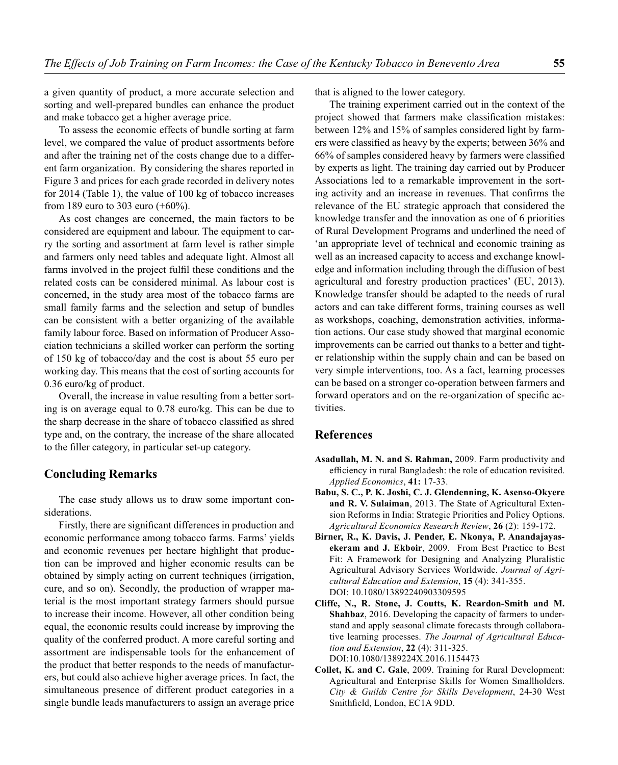a given quantity of product, a more accurate selection and sorting and well-prepared bundles can enhance the product and make tobacco get a higher average price.

To assess the economic effects of bundle sorting at farm level, we compared the value of product assortments before and after the training net of the costs change due to a different farm organization. By considering the shares reported in Figure 3 and prices for each grade recorded in delivery notes for 2014 (Table 1), the value of 100 kg of tobacco increases from 189 euro to 303 euro (+60%).

As cost changes are concerned, the main factors to be considered are equipment and labour. The equipment to carry the sorting and assortment at farm level is rather simple and farmers only need tables and adequate light. Almost all farms involved in the project fulfil these conditions and the related costs can be considered minimal. As labour cost is concerned, in the study area most of the tobacco farms are small family farms and the selection and setup of bundles can be consistent with a better organizing of the available family labour force. Based on information of Producer Association technicians a skilled worker can perform the sorting of 150 kg of tobacco/day and the cost is about 55 euro per working day. This means that the cost of sorting accounts for 0.36 euro/kg of product.

Overall, the increase in value resulting from a better sorting is on average equal to 0.78 euro/kg. This can be due to the sharp decrease in the share of tobacco classified as shred type and, on the contrary, the increase of the share allocated to the filler category, in particular set-up category.

### **Concluding Remarks**

The case study allows us to draw some important considerations.

Firstly, there are significant differences in production and economic performance among tobacco farms. Farms' yields and economic revenues per hectare highlight that production can be improved and higher economic results can be obtained by simply acting on current techniques (irrigation, cure, and so on). Secondly, the production of wrapper material is the most important strategy farmers should pursue to increase their income. However, all other condition being equal, the economic results could increase by improving the quality of the conferred product. A more careful sorting and assortment are indispensable tools for the enhancement of the product that better responds to the needs of manufacturers, but could also achieve higher average prices. In fact, the simultaneous presence of different product categories in a single bundle leads manufacturers to assign an average price

that is aligned to the lower category.

The training experiment carried out in the context of the project showed that farmers make classification mistakes: between 12% and 15% of samples considered light by farmers were classified as heavy by the experts; between 36% and 66% of samples considered heavy by farmers were classified by experts as light. The training day carried out by Producer Associations led to a remarkable improvement in the sorting activity and an increase in revenues. That confirms the relevance of the EU strategic approach that considered the knowledge transfer and the innovation as one of 6 priorities of Rural Development Programs and underlined the need of 'an appropriate level of technical and economic training as well as an increased capacity to access and exchange knowledge and information including through the diffusion of best agricultural and forestry production practices' (EU, 2013). Knowledge transfer should be adapted to the needs of rural actors and can take different forms, training courses as well as workshops, coaching, demonstration activities, information actions. Our case study showed that marginal economic improvements can be carried out thanks to a better and tighter relationship within the supply chain and can be based on very simple interventions, too. As a fact, learning processes can be based on a stronger co-operation between farmers and forward operators and on the re-organization of specific activities.

### **References**

- **Asadullah, M. N. and S. Rahman,** 2009. Farm productivity and efficiency in rural Bangladesh: the role of education revisited. *Applied Economics*, **41:** 17-33.
- **Babu, S. C., P. K. Joshi, C. J. Glendenning, K. Asenso-Okyere and R. V. Sulaiman**, 2013. The State of Agricultural Extension Reforms in India: Strategic Priorities and Policy Options. *Agricultural Economics Research Review*, **26** (2): 159-172.
- **Birner, R., K. Davis, J. Pender, E. Nkonya, P. Anandajayasekeram and J. Ekboir**, 2009. From Best Practice to Best Fit: A Framework for Designing and Analyzing Pluralistic Agricultural Advisory Services Worldwide. *Journal of Agricultural Education and Extension*, **15** (4): 341-355. DOI: 10.1080/13892240903309595
- **Cliffe, N., R. Stone, J. Coutts, K. Reardon-Smith and M. Shahbaz**, 2016. Developing the capacity of farmers to understand and apply seasonal climate forecasts through collaborative learning processes. *The Journal of Agricultural Education and Extension*, **22** (4): 311-325. DOI:10.1080/1389224X.2016.1154473
- **Collet, K. and C. Gale**, 2009. Training for Rural Development: Agricultural and Enterprise Skills for Women Smallholders. *City & Guilds Centre for Skills Development*, 24-30 West Smithfield, London, EC1A 9DD.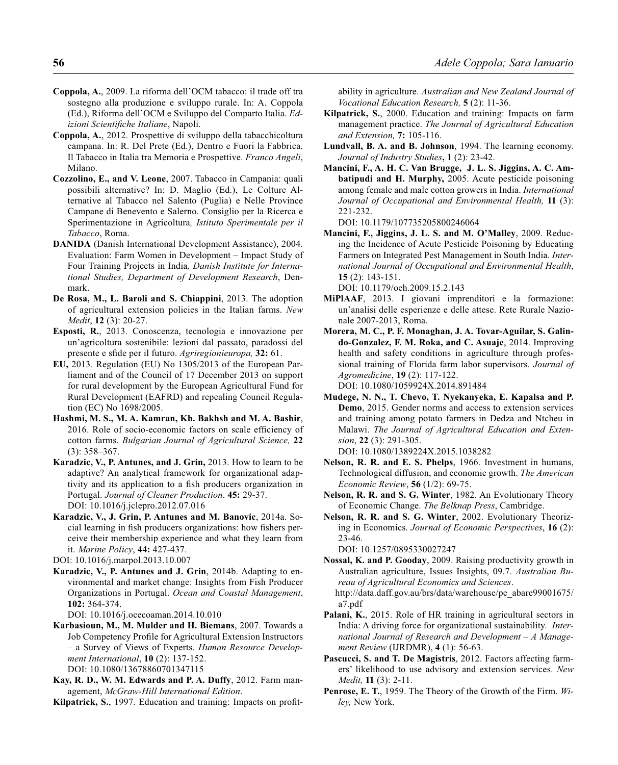- **Coppola, A.**, 2009. La riforma dell'OCM tabacco: il trade off tra sostegno alla produzione e sviluppo rurale. In: A. Coppola (Ed.), Riforma dell'OCM e Sviluppo del Comparto Italia. *Edizioni Scientifiche Italiane*, Napoli.
- **Coppola, A.**, 2012. Prospettive di sviluppo della tabacchicoltura campana. In: R. Del Prete (Ed.), Dentro e Fuori la Fabbrica. Il Tabacco in Italia tra Memoria e Prospettive. *Franco Angeli*, Milano.
- **Cozzolino, E., and V. Leone**, 2007. Tabacco in Campania: quali possibili alternative? In: D. Maglio (Ed.), Le Colture Alternative al Tabacco nel Salento (Puglia) e Nelle Province Campane di Benevento e Salerno. Consiglio per la Ricerca e Sperimentazione in Agricoltura*, Istituto Sperimentale per il Tabacco*, Roma.
- **DANIDA** (Danish International Development Assistance), 2004. Evaluation: Farm Women in Development – Impact Study of Four Training Projects in India*, Danish Institute for International Studies, Department of Development Research*, Denmark.
- **De Rosa, M., L. Baroli and S. Chiappini**, 2013. The adoption of agricultural extension policies in the Italian farms. *New Medit*, **12** (3): 20-27.
- **Esposti, R.**, 2013. Conoscenza, tecnologia e innovazione per un'agricoltura sostenibile: lezioni dal passato, paradossi del presente e sfide per il futuro. *Agriregionieuropa*, 32: 61.
- **EU,** 2013. Regulation (EU) No 1305/2013 of the European Parliament and of the Council of 17 December 2013 on support for rural development by the European Agricultural Fund for Rural Development (EAFRD) and repealing Council Regulation (EC) No 1698/2005.
- **Hashmi, M. S., M. A. Kamran, Kh. Bakhsh and M. A. Bashir**, 2016. Role of socio-economic factors on scale efficiency of cotton farms. *Bulgarian Journal of Agricultural Science,* **22**  (3): 358–367.
- **Karadzic, V., P. Antunes, and J. Grin,** 2013. How to learn to be adaptive? An analytical framework for organizational adaptivity and its application to a fish producers organization in Portugal. *Journal of Cleaner Production*. **45:** 29-37. DOI: 10.1016/j.jclepro.2012.07.016
- **Karadzic, V., J. Grin, P. Antunes and M. Banovic**, 2014a. Social learning in fish producers organizations: how fishers perceive their membership experience and what they learn from it. *Marine Policy*, **44:** 427-437.
- DOI: 10.1016/j.marpol.2013.10.007
- **Karadzic, V., P. Antunes and J. Grin**, 2014b. Adapting to environmental and market change: Insights from Fish Producer Organizations in Portugal. *Ocean and Coastal Management*, **102:** 364-374.

DOI: 10.1016/j.ocecoaman.2014.10.010

- **Karbasioun, M., M. Mulder and H. Biemans**, 2007. Towards a Job Competency Profile for Agricultural Extension Instructors – a Survey of Views of Experts. *Human Resource Development International*, **10** (2): 137-152. DOI: 10.1080/13678860701347115
- **Kay, R. D., W. M. Edwards and P. A. Duffy**, 2012. Farm management, *McGraw-Hill International Edition*.
- Kilpatrick, S., 1997. Education and training: Impacts on profit-

ability in agriculture. *Australian and New Zealand Journal of Vocational Education Research,* **5** (2): 11-36.

- **Kilpatrick, S.**, 2000. Education and training: Impacts on farm management practice. *The Journal of Agricultural Education and Extension,* **7:** 105-116.
- **Lundvall, B. A. and B. Johnson**, 1994. The learning economy. *Journal of Industry Studies***, 1** (2): 23-42.
- **Mancini, F., A. H. C. Van Brugge, J. L. S. Jiggins, A. C. Ambatipudi and H. Murphy,** 2005. Acute pesticide poisoning among female and male cotton growers in India. *International Journal of Occupational and Environmental Health,* **11** (3): 221-232.

DOI: 10.1179/107735205800246064

**Mancini, F., Jiggins, J. L. S. and M. O'Malley**, 2009. Reducing the Incidence of Acute Pesticide Poisoning by Educating Farmers on Integrated Pest Management in South India. *International Journal of Occupational and Environmental Health*, **15** (2): 143-151.

DOI: 10.1179/oeh.2009.15.2.143

- **MiPlAAF**, 2013. I giovani imprenditori e la formazione: un'analisi delle esperienze e delle attese. Rete Rurale Nazionale 2007-2013, Roma.
- **Morera, M. C., P. F. Monaghan, J. A. Tovar-Aguilar, S. Galindo-Gonzalez, F. M. Roka, and C. Asuaje**, 2014. Improving health and safety conditions in agriculture through professional training of Florida farm labor supervisors. *Journal of Agromedicine*, **19** (2): 117-122. DOI: 10.1080/1059924X.2014.891484
- **Mudege, N. N., T. Chevo, T. Nyekanyeka, E. Kapalsa and P. Demo**, 2015. Gender norms and access to extension services and training among potato farmers in Dedza and Ntcheu in Malawi. *The Journal of Agricultural Education and Extension*, **22** (3): 291-305.

DOI: 10.1080/1389224X.2015.1038282

- **Nelson, R. R. and E. S. Phelps**, 1966. Investment in humans, Technological diffusion, and economic growth. *The American Economic Review*, **56** (1/2): 69-75.
- **Nelson, R. R. and S. G. Winter**, 1982. An Evolutionary Theory of Economic Change. *The Belknap Press*, Cambridge.
- **Nelson, R. R. and S. G. Winter**, 2002. Evolutionary Theorizing in Economics. *Journal of Economic Perspectives*, **16** (2): 23-46.

DOI: 10.1257/0895330027247

- **Nossal, K. and P. Gooday**, 2009. Raising productivity growth in Australian agriculture, Issues Insights, 09.7. *Australian Bureau of Agricultural Economics and Sciences*. http://data.daff.gov.au/brs/data/warehouse/pe\_abare99001675/ a7.pdf
- Palani, K., 2015. Role of HR training in agricultural sectors in India: A driving force for organizational sustainability. *International Journal of Research and Development – A Management Review* (IJRDMR), **4** (1): 56-63.
- **Pascucci, S. and T. De Magistris**, 2012. Factors affecting farmers' likelihood to use advisory and extension services. *New Medit,* **11** (3): 2-11.
- **Penrose, E. T.**, 1959. The Theory of the Growth of the Firm. *Wiley,* New York.